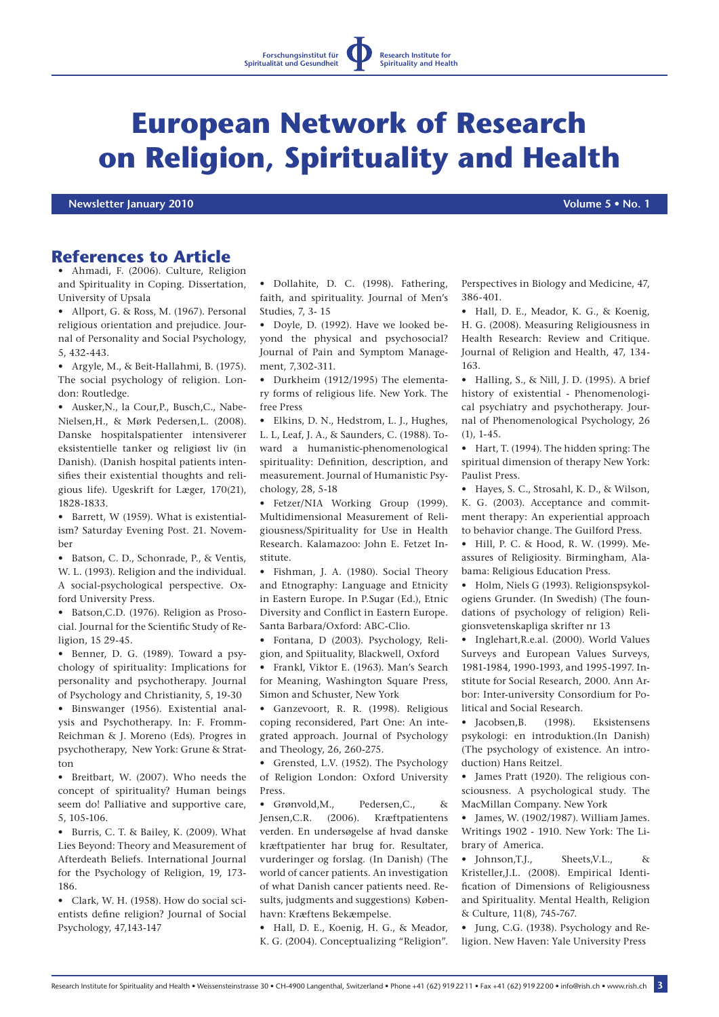**Research Institute for Spirituality and Health**

## **European Network of Research on Religion, Spirituality and Health**

 **Newsletter January 2010 Volume 5 • No. 1**

## **References to Article**

Ahmadi, F. (2006). Culture, Religion and Spirituality in Coping. Dissertation, University of Upsala

• Allport, G. & Ross, M. (1967). Personal religious orientation and prejudice. Journal of Personality and Social Psychology, 5, 432-443.

Argyle, M., & Beit-Hallahmi, B. (1975). The social psychology of religion. London: Routledge.

• Ausker,N., la Cour,P., Busch,C., Nabe-Nielsen,H., & Mørk Pedersen,L. (2008). Danske hospitalspatienter intensiverer eksistentielle tanker og religiøst liv (in Danish). (Danish hospital patients intensifies their existential thoughts and religious life). Ugeskrift for Læger, 170(21), 1828-1833.

• Barrett, W (1959). What is existentialism? Saturday Evening Post. 21. November

• Batson, C. D., Schonrade, P., & Ventis, W. L. (1993). Religion and the individual. A social-psychological perspective. Oxford University Press.

• Batson,C.D. (1976). Religion as Prosocial. Journal for the Scientific Study of Religion, 15 29-45.

• Benner, D. G. (1989). Toward a psychology of spirituality: Implications for personality and psychotherapy. Journal of Psychology and Christianity, 5, 19-30

• Binswanger (1956). Existential analysis and Psychotherapy. In: F. Fromm-Reichman & J. Moreno (Eds). Progres in psychotherapy, New York: Grune & Stratton

• Breitbart, W. (2007). Who needs the concept of spirituality? Human beings seem do! Palliative and supportive care, 5, 105-106.

• Burris, C. T. & Bailey, K. (2009). What Lies Beyond: Theory and Measurement of Afterdeath Beliefs. International Journal for the Psychology of Religion, 19, 173- 186.

Clark, W. H. (1958). How do social scientists define religion? Journal of Social Psychology, 47,143-147

• Dollahite, D. C. (1998). Fathering, faith, and spirituality. Journal of Men's Studies, 7, 3- 15

• Doyle, D. (1992). Have we looked beyond the physical and psychosocial? Journal of Pain and Symptom Management, 7,302-311.

• Durkheim (1912/1995) The elementary forms of religious life. New York. The free Press

• Elkins, D. N., Hedstrom, L. J., Hughes, L. L, Leaf, J. A., & Saunders, C. (1988). Toward a humanistic-phenomenological spirituality: Definition, description, and measurement. Journal of Humanistic Psychology, 28, 5-18

• Fetzer/NIA Working Group (1999). Multidimensional Measurement of Religiousness/Spirituality for Use in Health Research. Kalamazoo: John E. Fetzet Institute.

• Fishman, J. A. (1980). Social Theory and Etnography: Language and Etnicity in Eastern Europe. In P.Sugar (Ed.), Etnic Diversity and Conflict in Eastern Europe. Santa Barbara/Oxford: ABC-Clio.

• Fontana, D (2003). Psychology, Religion, and Spiituality, Blackwell, Oxford

• Frankl, Viktor E. (1963). Man's Search for Meaning, Washington Square Press, Simon and Schuster, New York

• Ganzevoort, R. R. (1998). Religious coping reconsidered, Part One: An integrated approach. Journal of Psychology and Theology, 26, 260-275.

• Grensted, L.V. (1952). The Psychology of Religion London: Oxford University Press.

• Grønvold M. Pedersen C. & Jensen,C.R. (2006). Kræftpatientens verden. En undersøgelse af hvad danske kræftpatienter har brug for. Resultater, vurderinger og forslag. (In Danish) (The world of cancer patients. An investigation of what Danish cancer patients need. Results, judgments and suggestions) København: Kræftens Bekæmpelse.

• Hall, D. E., Koenig, H. G., & Meador, K. G. (2004). Conceptualizing "Religion".

Perspectives in Biology and Medicine, 47, 386-401.

• Hall, D. E., Meador, K. G., & Koenig, H. G. (2008). Measuring Religiousness in Health Research: Review and Critique. Journal of Religion and Health, 47, 134- 163.

• Halling, S., & Nill, J. D. (1995). A brief history of existential - Phenomenological psychiatry and psychotherapy. Journal of Phenomenological Psychology, 26  $(1)$ , 1-45.

• Hart, T. (1994). The hidden spring: The spiritual dimension of therapy New York: Paulist Press.

• Hayes, S. C., Strosahl, K. D., & Wilson, K. G. (2003). Acceptance and commitment therapy: An experiential approach to behavior change. The Guilford Press.

• Hill, P. C. & Hood, R. W. (1999). Meassures of Religiosity. Birmingham, Alabama: Religious Education Press.

• Holm, Niels G (1993). Religionspsykologiens Grunder. (In Swedish) (The foundations of psychology of religion) Religionsvetenskapliga skrifter nr 13

• Inglehart,R.e.al. (2000). World Values Surveys and European Values Surveys, 1981-1984, 1990-1993, and 1995-1997. Institute for Social Research, 2000. Ann Arbor: Inter-university Consordium for Political and Social Research.

• Jacobsen, B. (1998). Eksistensens psykologi: en introduktion.(In Danish) (The psychology of existence. An introduction) Hans Reitzel.

• James Pratt (1920). The religious consciousness. A psychological study. The MacMillan Company. New York

• James, W. (1902/1987). William James. Writings 1902 - 1910. New York: The Library of America.

• Johnson,T.J., Sheets,V.L., & Kristeller,J.L. (2008). Empirical Identification of Dimensions of Religiousness and Spirituality. Mental Health, Religion & Culture, 11(8), 745-767.

• Jung, C.G. (1938). Psychology and Religion. New Haven: Yale University Press